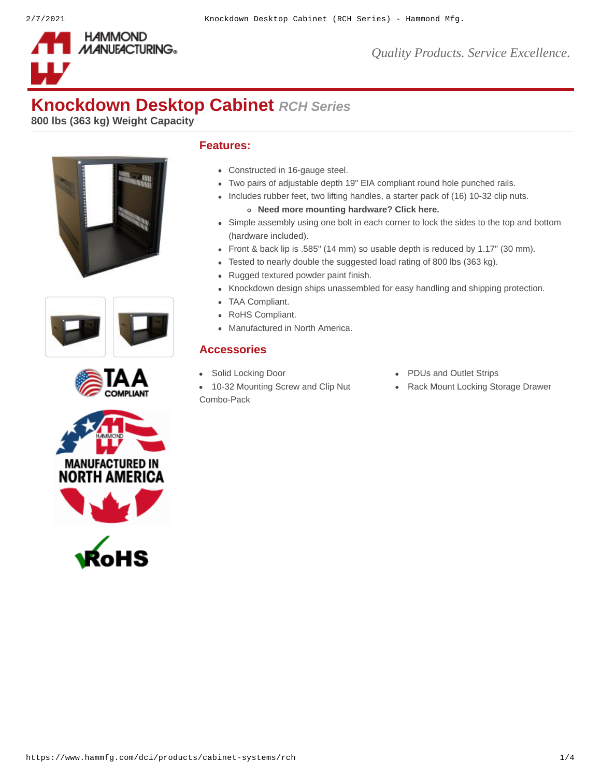

# **Knockdown Desktop Cabinet** *RCH Series*

**800 lbs (363 kg) Weight Capacity**











#### **Features:**

- Constructed in 16-gauge steel.
- Two pairs of adjustable depth 19" EIA compliant round hole punched rails.
- Includes rubber feet, two lifting handles, a starter pack of (16) 10-32 clip nuts. **Need more mounting hardware? [Click here.](https://www.hammfg.com/product/clpkit)**
- Simple assembly using one bolt in each corner to lock the sides to the top and bottom (hardware included).
- Front & back lip is .585" (14 mm) so usable depth is reduced by 1.17" (30 mm).
- Tested to nearly double the suggested load rating of 800 lbs (363 kg).
- Rugged textured powder paint finish.
- Knockdown design ships unassembled for easy handling and shipping protection.
- TAA Compliant.
- RoHS Compliant.
- Manufactured in North America.

#### **Accessories**

- 
- [10-32 Mounting Screw and Clip Nut](https://www.hammfg.com/dci/products/accessories/clpkit?referer=1028&itm_type=accessory) Combo-Pack
- [Solid Locking Door](https://www.hammfg.com/dci/products/accessories/rchd?referer=1028&itm_type=accessory) **Case Contract Contract Contract Contract Contract Contract Contract Contract Contract Contract Contract Contract Contract Contract Contract Contract Contract Contract Contract Contract Contract Contract** 
	- [Rack Mount Locking Storage Drawer](https://www.hammfg.com/dci/products/accessories/rdrw?referer=1028&itm_type=accessory)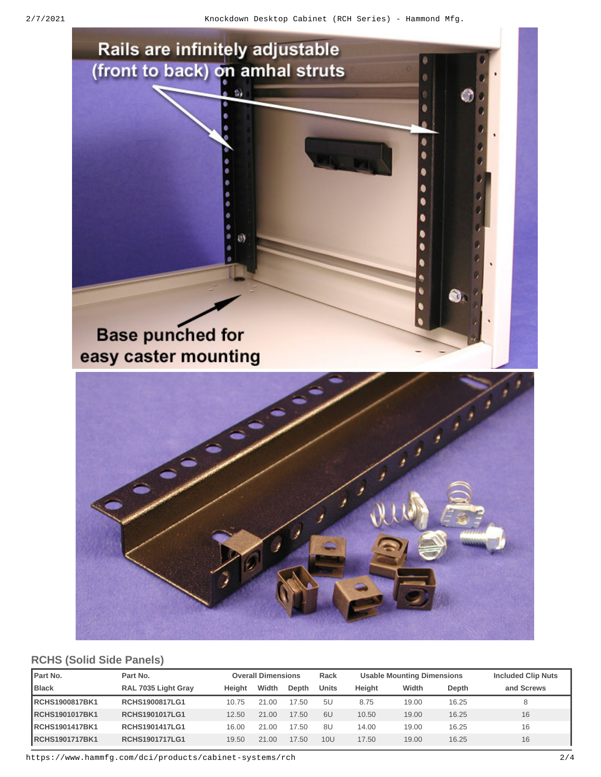

# **RCHS (Solid Side Panels)**

| <b>Part No.</b>       | Part No.              | <b>Overall Dimensions</b> |       | Rack  | <b>Usable Mounting Dimensions</b> |        |       | <b>Included Clip Nuts</b> |            |
|-----------------------|-----------------------|---------------------------|-------|-------|-----------------------------------|--------|-------|---------------------------|------------|
| <b>Black</b>          | RAL 7035 Light Gray   | Height                    | Width | Depth | Units                             | Height | Width | Depth                     | and Screws |
| RCHS1900817BK1        | <b>RCHS1900817LG1</b> | 10.75                     | 21.00 | 17.50 | 5U                                | 8.75   | 19.00 | 16.25                     |            |
| <b>RCHS1901017BK1</b> | <b>RCHS1901017LG1</b> | 12.50                     | 21.00 | 17.50 | 6U                                | 10.50  | 19.00 | 16.25                     | 16         |
| RCHS1901417BK1        | <b>RCHS1901417LG1</b> | 16.00                     | 21.00 | 17.50 | 8U                                | 14.00  | 19.00 | 16.25                     | 16         |
| <b>RCHS1901717BK1</b> | <b>RCHS1901717LG1</b> | 19.50                     | 21.00 | 17.50 | 10U                               | 17.50  | 19.00 | 16.25                     | 16         |

https://www.hammfg.com/dci/products/cabinet-systems/rch 2/4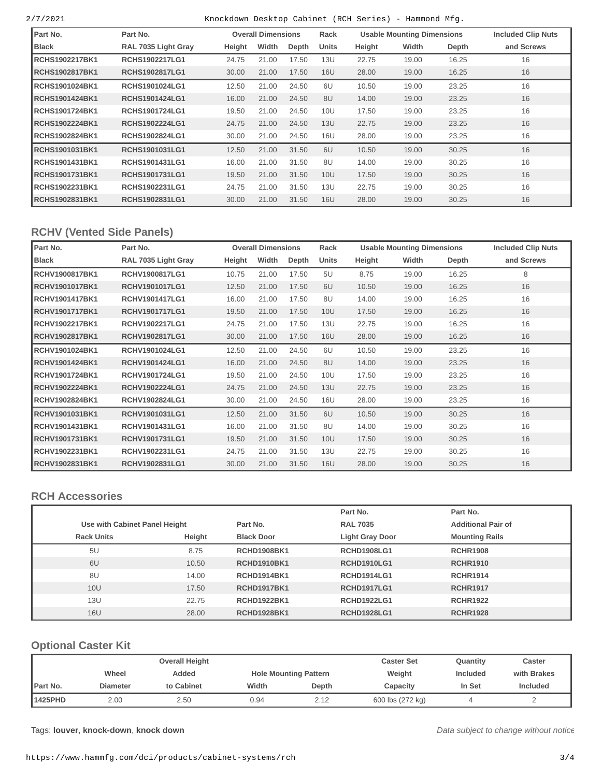2/7/2021 Knockdown Desktop Cabinet (RCH Series) - Hammond Mfg.

| Part No.               | Part No.              |        | <b>Overall Dimensions</b> |       | Rack  | <b>Usable Mounting Dimensions</b> |       |       | <b>Included Clip Nuts</b> |
|------------------------|-----------------------|--------|---------------------------|-------|-------|-----------------------------------|-------|-------|---------------------------|
| <b>Black</b>           | RAL 7035 Light Gray   | Height | Width                     | Depth | Units | Height                            | Width | Depth | and Screws                |
| RCHS1902217BK1         | <b>RCHS1902217LG1</b> | 24.75  | 21.00                     | 17.50 | 13U   | 22.75                             | 19.00 | 16.25 | 16                        |
| <b>RCHS1902817BK1</b>  | <b>RCHS1902817LG1</b> | 30.00  | 21.00                     | 17.50 | 16U   | 28.00                             | 19.00 | 16.25 | 16                        |
| <b>IRCHS1901024BK1</b> | <b>RCHS1901024LG1</b> | 12.50  | 21.00                     | 24.50 | 6U    | 10.50                             | 19.00 | 23.25 | 16                        |
| RCHS1901424BK1         | <b>RCHS1901424LG1</b> | 16.00  | 21.00                     | 24.50 | 8U    | 14.00                             | 19.00 | 23.25 | 16                        |
| RCHS1901724BK1         | <b>RCHS1901724LG1</b> | 19.50  | 21.00                     | 24.50 | 10U   | 17.50                             | 19.00 | 23.25 | 16                        |
| <b>RCHS1902224BK1</b>  | <b>RCHS1902224LG1</b> | 24.75  | 21.00                     | 24.50 | 13U   | 22.75                             | 19.00 | 23.25 | 16                        |
| RCHS1902824BK1         | <b>RCHS1902824LG1</b> | 30.00  | 21.00                     | 24.50 | 16U   | 28.00                             | 19.00 | 23.25 | 16                        |
| <b>RCHS1901031BK1</b>  | <b>RCHS1901031LG1</b> | 12.50  | 21.00                     | 31.50 | 6U    | 10.50                             | 19.00 | 30.25 | 16                        |
| RCHS1901431BK1         | <b>RCHS1901431LG1</b> | 16.00  | 21.00                     | 31.50 | 8U    | 14.00                             | 19.00 | 30.25 | 16                        |
| RCHS1901731BK1         | <b>RCHS1901731LG1</b> | 19.50  | 21.00                     | 31.50 | 10U   | 17.50                             | 19.00 | 30.25 | 16                        |
| RCHS1902231BK1         | <b>RCHS1902231LG1</b> | 24.75  | 21.00                     | 31.50 | 13U   | 22.75                             | 19.00 | 30.25 | 16                        |
| <b>RCHS1902831BK1</b>  | <b>RCHS1902831LG1</b> | 30.00  | 21.00                     | 31.50 | 16U   | 28.00                             | 19.00 | 30.25 | 16                        |

### **RCHV (Vented Side Panels)**

| Part No.       | Part No.              | <b>Overall Dimensions</b> |       | Rack  |            | <b>Usable Mounting Dimensions</b> | <b>Included Clip Nuts</b> |       |            |
|----------------|-----------------------|---------------------------|-------|-------|------------|-----------------------------------|---------------------------|-------|------------|
| <b>Black</b>   | RAL 7035 Light Gray   | Height                    | Width | Depth | Units      | Height                            | Width                     | Depth | and Screws |
| RCHV1900817BK1 | <b>RCHV1900817LG1</b> | 10.75                     | 21.00 | 17.50 | 5U         | 8.75                              | 19.00                     | 16.25 | 8          |
| RCHV1901017BK1 | <b>RCHV1901017LG1</b> | 12.50                     | 21.00 | 17.50 | 6U         | 10.50                             | 19.00                     | 16.25 | 16         |
| RCHV1901417BK1 | <b>RCHV1901417LG1</b> | 16.00                     | 21.00 | 17.50 | 8U         | 14.00                             | 19.00                     | 16.25 | 16         |
| RCHV1901717BK1 | <b>RCHV1901717LG1</b> | 19.50                     | 21.00 | 17.50 | 10U        | 17.50                             | 19.00                     | 16.25 | 16         |
| RCHV1902217BK1 | <b>RCHV1902217LG1</b> | 24.75                     | 21.00 | 17.50 | 13U        | 22.75                             | 19.00                     | 16.25 | 16         |
| RCHV1902817BK1 | <b>RCHV1902817LG1</b> | 30.00                     | 21.00 | 17.50 | 16U        | 28.00                             | 19.00                     | 16.25 | 16         |
| RCHV1901024BK1 | RCHV1901024LG1        | 12.50                     | 21.00 | 24.50 | 6U         | 10.50                             | 19.00                     | 23.25 | 16         |
| RCHV1901424BK1 | RCHV1901424LG1        | 16.00                     | 21.00 | 24.50 | 8U         | 14.00                             | 19.00                     | 23.25 | 16         |
| RCHV1901724BK1 | RCHV1901724LG1        | 19.50                     | 21.00 | 24.50 | 10U        | 17.50                             | 19.00                     | 23.25 | 16         |
| RCHV1902224BK1 | <b>RCHV1902224LG1</b> | 24.75                     | 21.00 | 24.50 | 13U        | 22.75                             | 19.00                     | 23.25 | 16         |
| RCHV1902824BK1 | RCHV1902824LG1        | 30.00                     | 21.00 | 24.50 | 16U        | 28.00                             | 19.00                     | 23.25 | 16         |
| RCHV1901031BK1 | RCHV1901031LG1        | 12.50                     | 21.00 | 31.50 | 6U         | 10.50                             | 19.00                     | 30.25 | 16         |
| RCHV1901431BK1 | RCHV1901431LG1        | 16.00                     | 21.00 | 31.50 | 8U         | 14.00                             | 19.00                     | 30.25 | 16         |
| RCHV1901731BK1 | <b>RCHV1901731LG1</b> | 19.50                     | 21.00 | 31.50 | <b>10U</b> | 17.50                             | 19.00                     | 30.25 | 16         |
| RCHV1902231BK1 | RCHV1902231LG1        | 24.75                     | 21.00 | 31.50 | 13U        | 22.75                             | 19.00                     | 30.25 | 16         |
| RCHV1902831BK1 | RCHV1902831LG1        | 30.00                     | 21.00 | 31.50 | 16U        | 28.00                             | 19.00                     | 30.25 | 16         |

#### **RCH Accessories**

|                   |                               |                    | Part No.               | Part No.                  |
|-------------------|-------------------------------|--------------------|------------------------|---------------------------|
|                   | Use with Cabinet Panel Height |                    | <b>RAL 7035</b>        | <b>Additional Pair of</b> |
| <b>Rack Units</b> | Height                        | <b>Black Door</b>  | <b>Light Gray Door</b> | <b>Mounting Rails</b>     |
| 5U                | 8.75                          | <b>RCHD1908BK1</b> | <b>RCHD1908LG1</b>     | <b>RCHR1908</b>           |
| 6U                | 10.50                         | <b>RCHD1910BK1</b> | <b>RCHD1910LG1</b>     | <b>RCHR1910</b>           |
| 8U                | 14.00                         | <b>RCHD1914BK1</b> | <b>RCHD1914LG1</b>     | <b>RCHR1914</b>           |
| 10U               | 17.50                         | <b>RCHD1917BK1</b> | <b>RCHD1917LG1</b>     | <b>RCHR1917</b>           |
| 13U               | 22.75                         | <b>RCHD1922BK1</b> | <b>RCHD1922LG1</b>     | <b>RCHR1922</b>           |
| 16U               | 28.00                         | <b>RCHD1928BK1</b> | <b>RCHD1928LG1</b>     | <b>RCHR1928</b>           |

## **Optional Caster Kit**

|          |                 | <b>Overall Height</b> | Caster Set | <b>Ouantity</b>              | Caster           |                 |                 |
|----------|-----------------|-----------------------|------------|------------------------------|------------------|-----------------|-----------------|
|          | Wheel           | Added                 |            | <b>Hole Mounting Pattern</b> | Weight           | <b>Included</b> | with Brakes     |
| Part No. | <b>Diameter</b> | to Cabinet            | Width      | Depth                        | Capacity         | In Set          | <b>Included</b> |
| 1425PHD  | 2.00            | 2.50                  | 0.94       | 2.12                         | 600 lbs (272 kg) |                 | ∸               |

Tags: **[louver](https://www.hammfg.com/search?q=louver)**, **[knock-down](https://www.hammfg.com/search?q=knock-down)**, **[knock](https://www.hammfg.com/search?q=knock%20down) down**

*Data subject to change without notice*